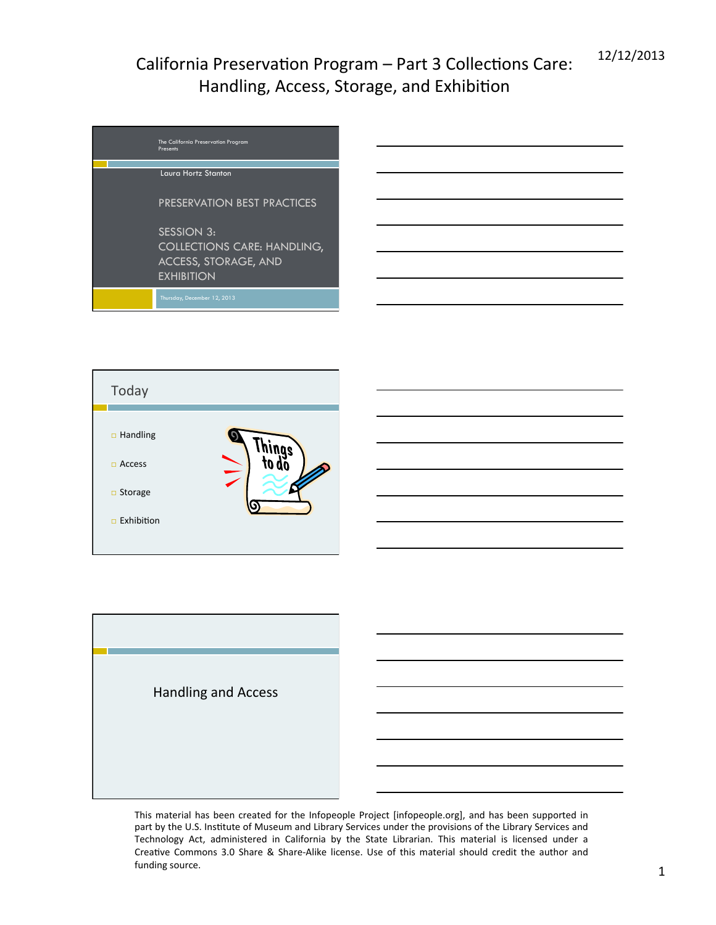| The California Preservation Program<br>Presents |
|-------------------------------------------------|
|                                                 |
| Laura Hortz Stanton                             |
| PRESERVATION BEST PRACTICES                     |
| <b>SESSION 3:</b>                               |
| <b>COLLECTIONS CARE: HANDLING,</b>              |
| <b>ACCESS, STORAGE, AND</b>                     |
| <b>EXHIBITION</b>                               |
| Thursday, December 12, 2013                     |



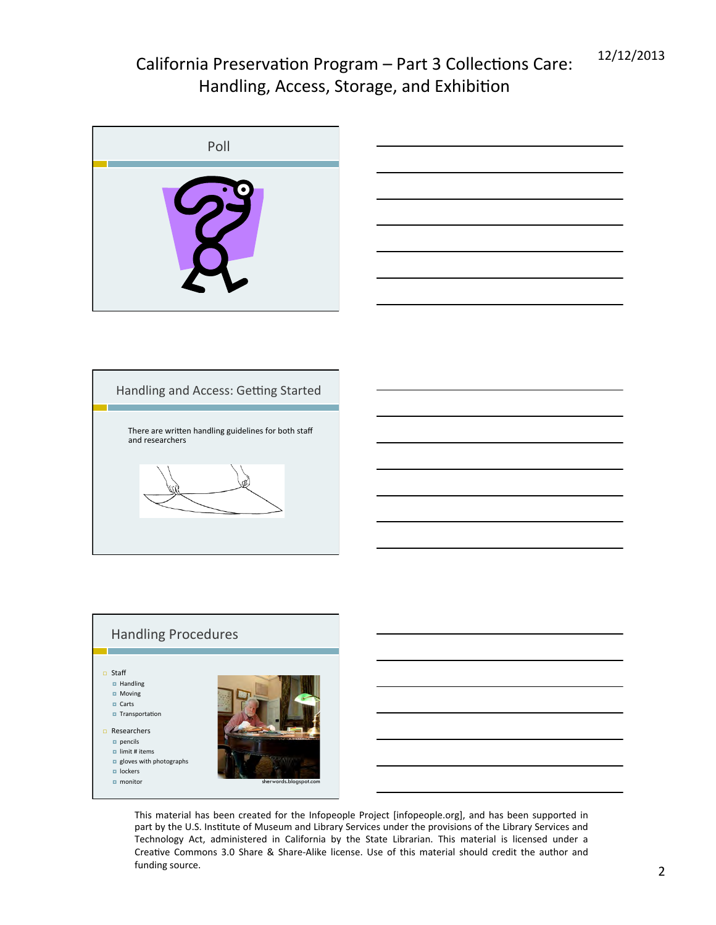| Poll      |
|-----------|
| $\bullet$ |





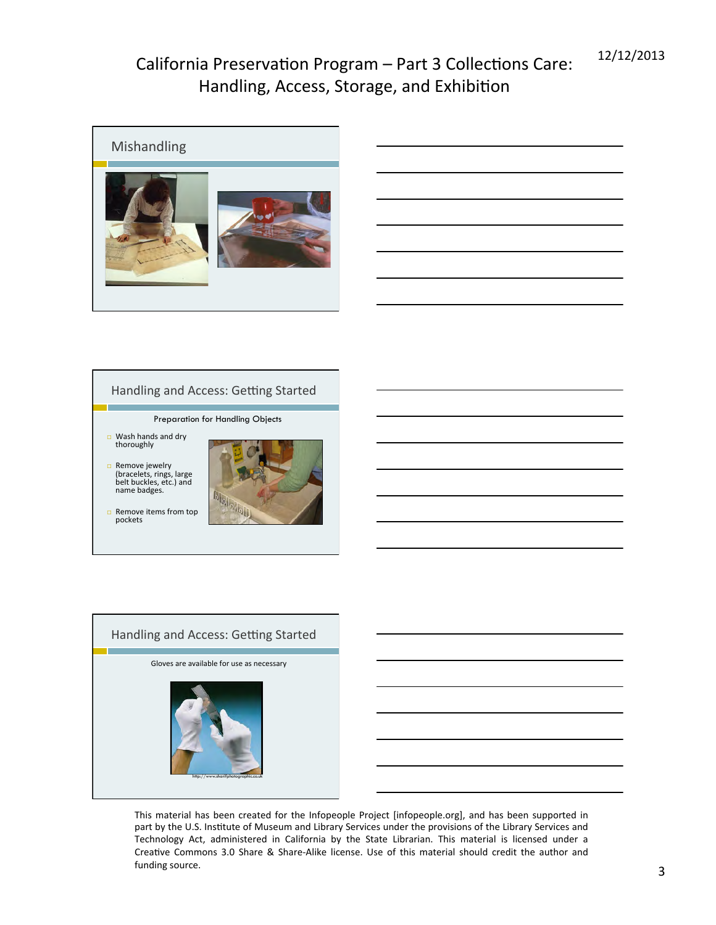

|  | the control of the control of the control of the control of the control of the control of the control of the control of the control of the control of the control of the control of the control of the control of the control |  |
|--|-------------------------------------------------------------------------------------------------------------------------------------------------------------------------------------------------------------------------------|--|
|  |                                                                                                                                                                                                                               |  |
|  |                                                                                                                                                                                                                               |  |
|  |                                                                                                                                                                                                                               |  |
|  |                                                                                                                                                                                                                               |  |

#### Handling and Access: Getting Started

Preparation for Handling Objects

- $\Box$  Wash hands and dry thoroughly
- □ Remove jewelry<br>(bracelets, rings, large belt buckles, etc.) and<br>name badges.



 $\Box$  Remove items from top pockets 



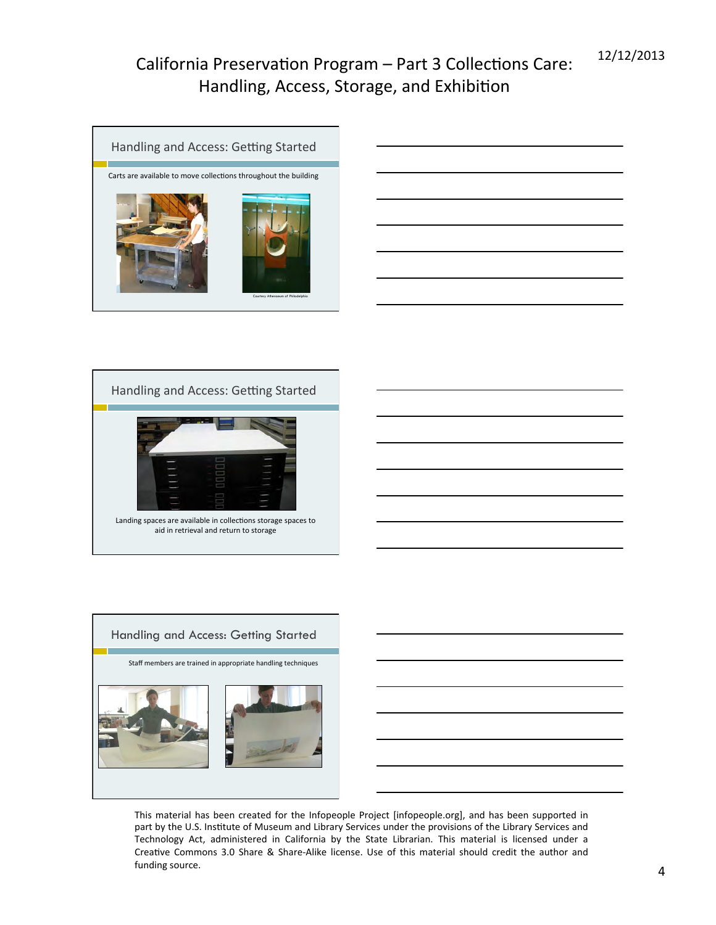







|  |  | <u> 1989 - Andrea Stadt Britain, amerikansk politik (* 1958)</u>    |
|--|--|---------------------------------------------------------------------|
|  |  | <u> 1989 - Johann Stein, mars an deus Amerikaansk kommunister (</u> |
|  |  |                                                                     |
|  |  | <u> 1989 - Andrea Barbara, Amerikaansk politiker (d. 1989)</u>      |
|  |  |                                                                     |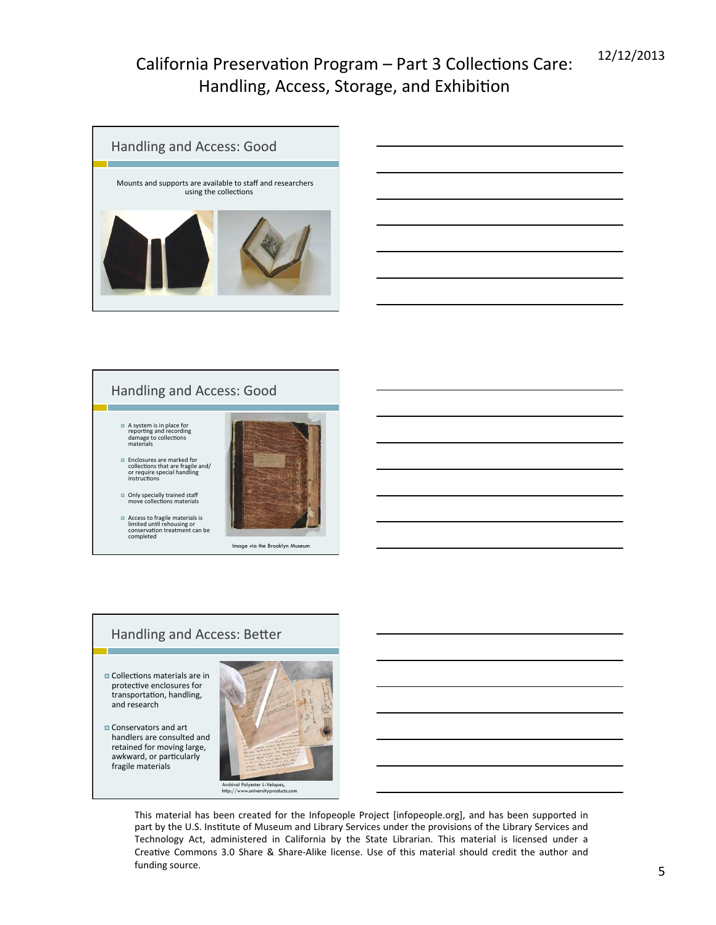



#### Handling and Access: Better

- $\blacksquare$  Collections materials are in protective enclosures for transportation, handling, and research
- **E** Conservators and art handlers are consulted and retained for moving large, awkward, or particularly fragile materials

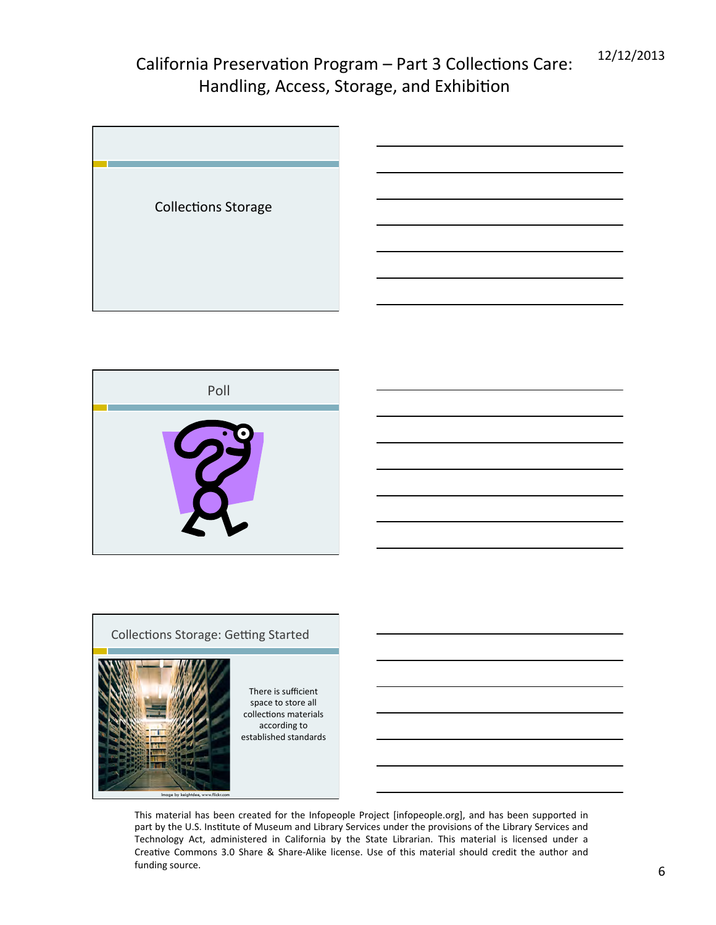



#### Collections Storage: Getting Started



There is sufficient space to store all collections materials according to established standards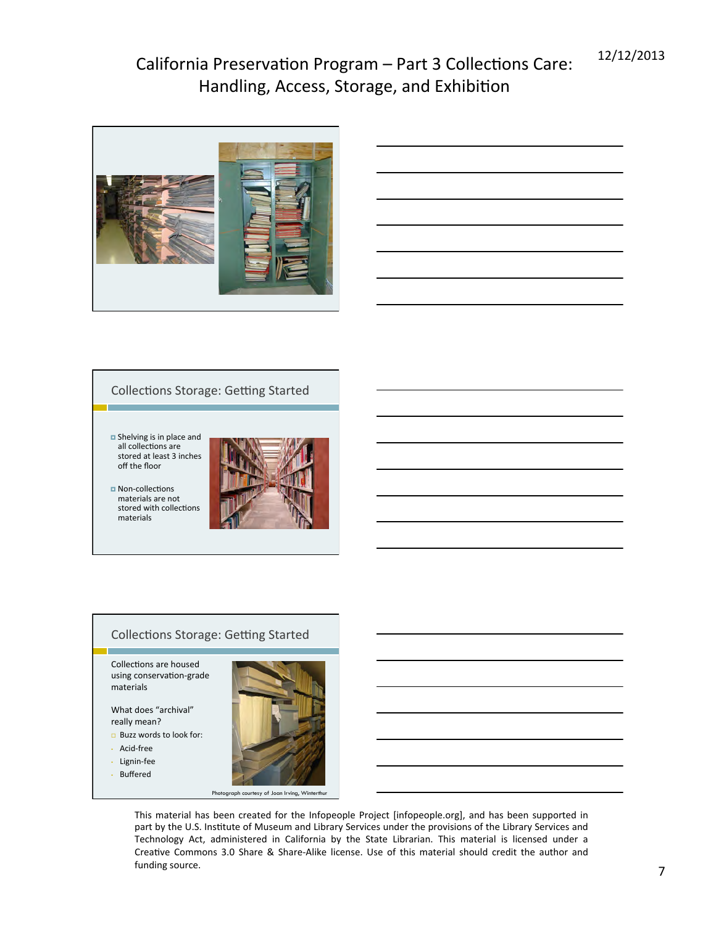

|                                                                                  | -      |
|----------------------------------------------------------------------------------|--------|
|                                                                                  |        |
|                                                                                  |        |
|                                                                                  |        |
|                                                                                  |        |
|                                                                                  |        |
| ,我们也不会有什么?""我们的人,我们也不会有什么?""我们的人,我们也不会有什么?""我们的人,我们也不会有什么?""我们的人,我们也不会有什么?""我们的人 | ______ |
|                                                                                  |        |
|                                                                                  |        |
|                                                                                  |        |
| <u> 1989 - Johann Stoff, Amerikaansk konst</u>                                   |        |
|                                                                                  |        |

#### Collections Storage: Getting Started

- $\blacksquare$  Shelving is in place and all collections are stored at least 3 inches off the floor
- **¤** Non-collections materials are not stored with collections materials



#### Collections Storage: Getting Started

Collections are housed using conservation-grade materials 

What does "archival" really mean?

- $\square$  Buzz words to look for:
- Acid-free
- Lignin-fee
- Buffered



Photograph courtesy of Joan Irving, Winterthur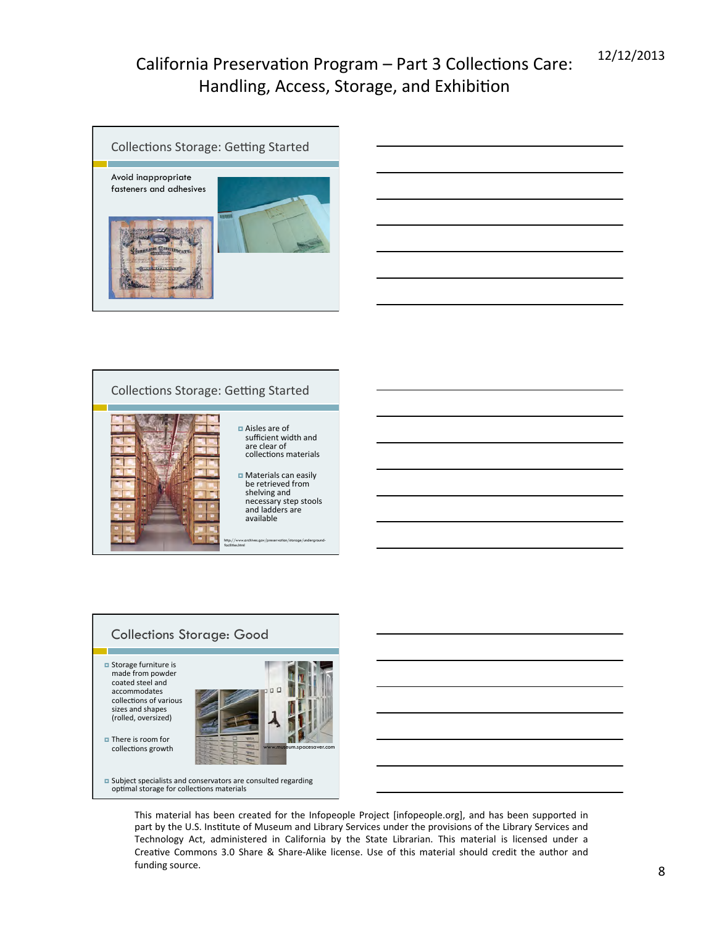

|                                                     |  | $\overline{\phantom{a}}$ |
|-----------------------------------------------------|--|--------------------------|
|                                                     |  |                          |
|                                                     |  |                          |
|                                                     |  |                          |
| the contract of the contract of the contract of the |  |                          |



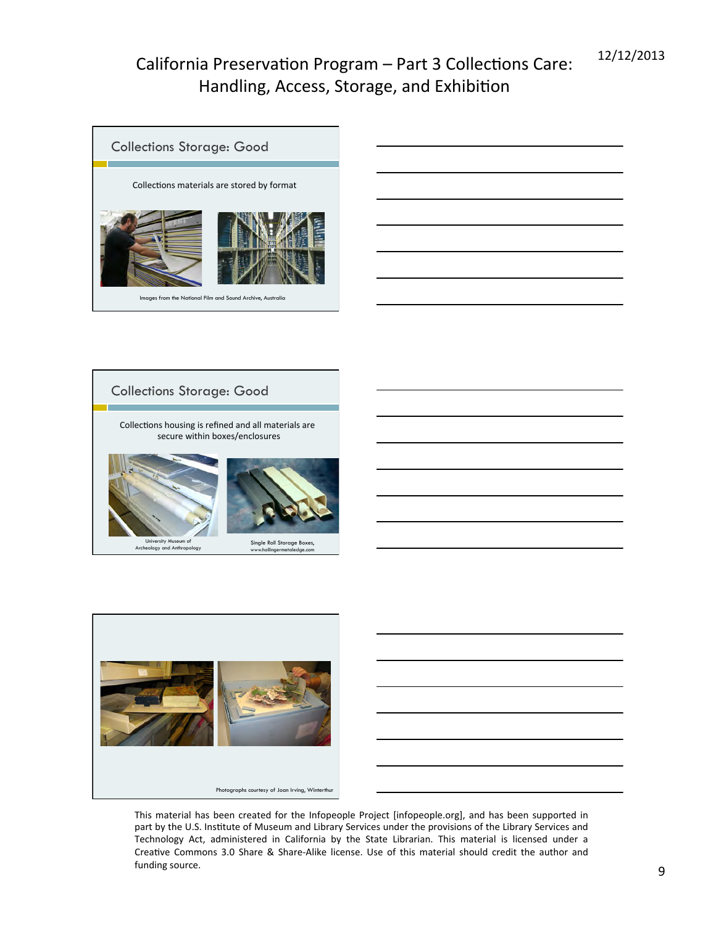





Collections Storage: Good



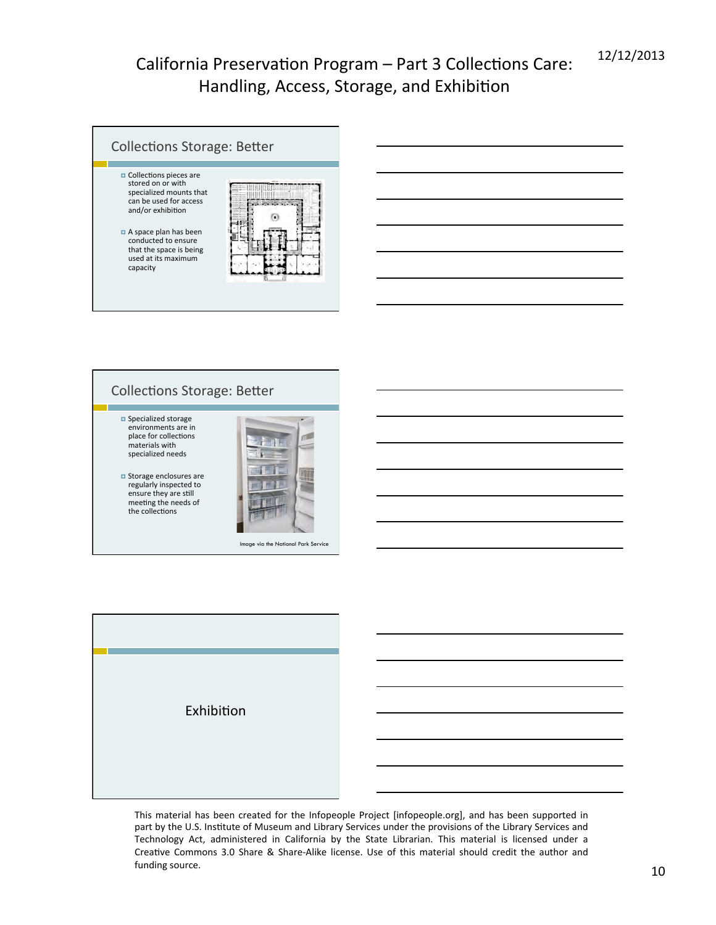



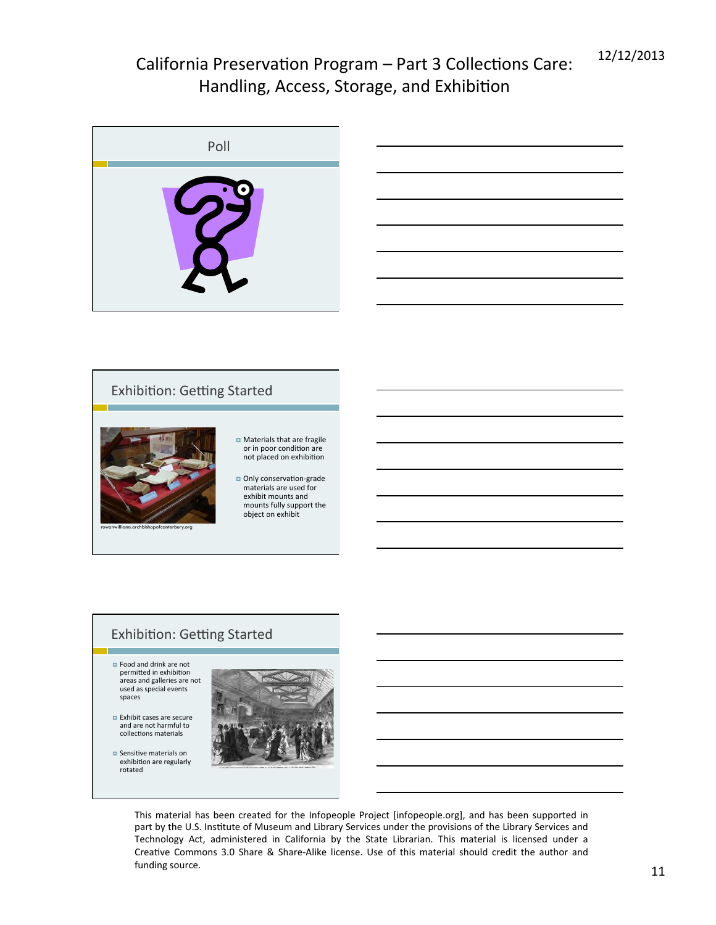| Poll      |
|-----------|
| $\bullet$ |



#### Exhibition: Getting Started **□** Materials that are fragile or in poor condition are not placed on exhibition **□** Only conservation-grade materials are used for exhibit mounts and mounts fully support the object on exhibit rowanwilliams.archbishopofcanterbury.org

#### Exhibition: Getting Started

- **□** Food and drink are not permitted in exhibition<br>areas and galleries are not used as special events spaces
- $\blacksquare$  Exhibit cases are secure and are not harmful to collections materials
- $\Box$  Sensitive materials on exhibition are regularly rotated

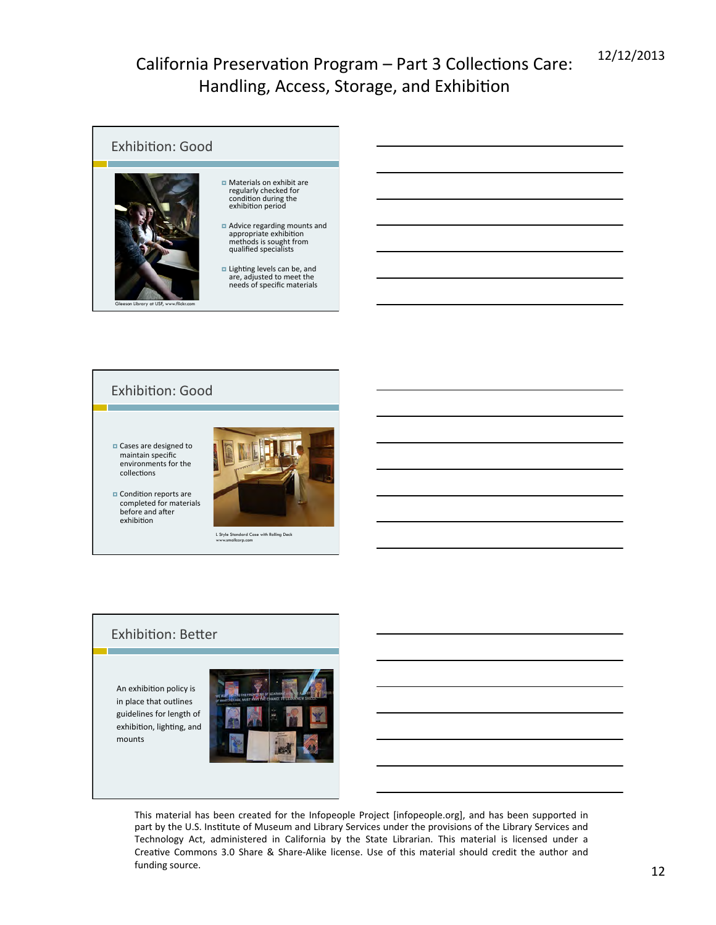

#### **Exhibition: Good**

**□** Cases are designed to maintain specific environments for the collections





L Style Standard Case with Rolling Deck www.smallcorp.com

#### Exhibition: Better

An exhibition policy is in place that outlines guidelines for length of exhibition, lighting, and mounts 

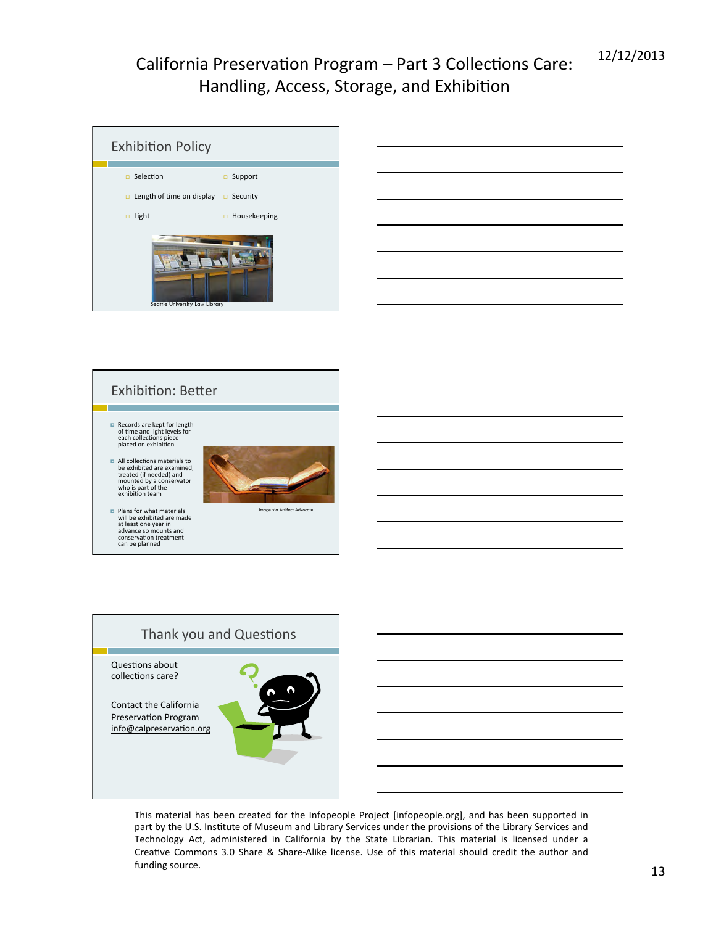